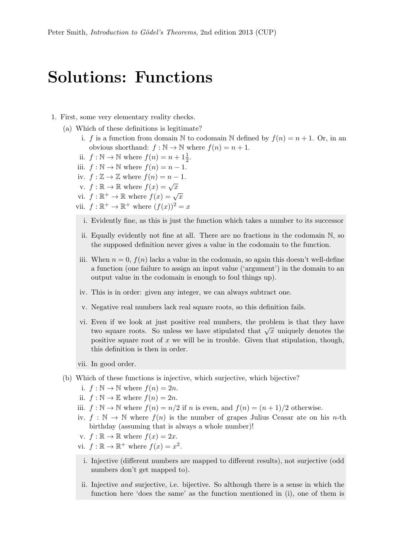## Solutions: Functions

- 1. First, some very elementary reality checks.
	- (a) Which of these definitions is legitimate?
		- i. f is a function from domain N to codomain N defined by  $f(n) = n + 1$ . Or, in an obvious shorthand:  $f : \mathbb{N} \to \mathbb{N}$  where  $f(n) = n + 1$ .
		- ii.  $f : \mathbb{N} \to \mathbb{N}$  where  $f(n) = n + 1\frac{1}{2}$ .
		- iii.  $f : \mathbb{N} \to \mathbb{N}$  where  $f(n) = n 1$ .
		- iv.  $f : \mathbb{Z} \to \mathbb{Z}$  where  $f(n) = n 1$ .
		- v.  $f : \mathbb{R} \to \mathbb{R}$  where  $f(x) = \sqrt{x}$
		- vi.  $f : \mathbb{R}^+ \to \mathbb{R}$  where  $f(x) = \sqrt{x}$
		- vii.  $f: \mathbb{R}^+ \to \mathbb{R}^+$  where  $(f(x))^2 = x$ 
			- i. Evidently fine, as this is just the function which takes a number to its successor
			- ii. Equally evidently not fine at all. There are no fractions in the codomain N, so the supposed definition never gives a value in the codomain to the function.
		- iii. When  $n = 0$ ,  $f(n)$  lacks a value in the codomain, so again this doesn't well-define a function (one failure to assign an input value ('argument') in the domain to an output value in the codomain is enough to foul things up).
		- iv. This is in order: given any integer, we can always subtract one.
		- v. Negative real numbers lack real square roots, so this definition fails.
		- vi. Even if we look at just positive real numbers, the problem is that they have Even if we look at just positive fear numbers, the problem is that they have<br>two square roots. So unless we have stipulated that  $\sqrt{x}$  uniquely denotes the positive square root of  $x$  we will be in trouble. Given that stipulation, though, this definition is then in order.
		- vii. In good order.
	- (b) Which of these functions is injective, which surjective, which bijective?
		- i.  $f : \mathbb{N} \to \mathbb{N}$  where  $f(n) = 2n$ .
		- ii.  $f : \mathbb{N} \to \mathbb{E}$  where  $f(n) = 2n$ .
		- iii.  $f : \mathbb{N} \to \mathbb{N}$  where  $f(n) = n/2$  if n is even, and  $f(n) = (n + 1)/2$  otherwise.
		- iv.  $f : \mathbb{N} \to \mathbb{N}$  where  $f(n)$  is the number of grapes Julius Ceasar ate on his *n*-th birthday (assuming that is always a whole number)!
		- v.  $f : \mathbb{R} \to \mathbb{R}$  where  $f(x) = 2x$ .
		- vi.  $f : \mathbb{R} \to \mathbb{R}^+$  where  $f(x) = x^2$ .
		- i. Injective (different numbers are mapped to different results), not surjective (odd numbers don't get mapped to).
		- ii. Injective and surjective, i.e. bijective. So although there is a sense in which the function here 'does the same' as the function mentioned in (i), one of them is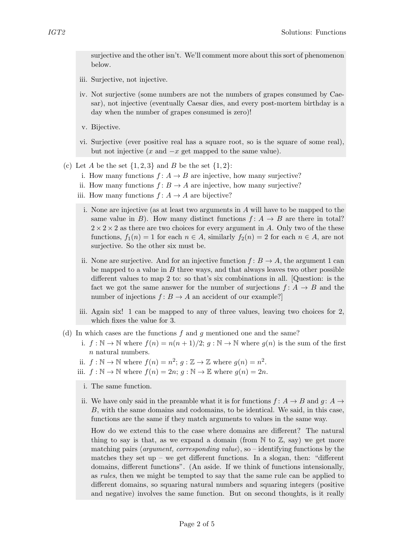surjective and the other isn't. We'll comment more about this sort of phenomenon below.

- iii. Surjective, not injective.
- iv. Not surjective (some numbers are not the numbers of grapes consumed by Caesar), not injective (eventually Caesar dies, and every post-mortem birthday is a day when the number of grapes consumed is zero)!
- v. Bijective.
- vi. Surjective (ever positive real has a square root, so is the square of some real), but not injective  $(x \text{ and } -x \text{ get mapped to the same value}).$
- (c) Let A be the set  $\{1,2,3\}$  and B be the set  $\{1,2\}$ :
	- i. How many functions  $f: A \to B$  are injective, how many surjective?
	- ii. How many functions  $f: B \to A$  are injective, how many surjective?
	- iii. How many functions  $f: A \to A$  are bijective?
		- i. None are injective (as at least two arguments in A will have to be mapped to the same value in B). How many distinct functions  $f: A \rightarrow B$  are there in total?  $2 \times 2 \times 2$  as there are two choices for every argument in A. Only two of the these functions,  $f_1(n) = 1$  for each  $n \in A$ , similarly  $f_2(n) = 2$  for each  $n \in A$ , are not surjective. So the other six must be.
	- ii. None are surjective. And for an injective function  $f: B \to A$ , the argument 1 can be mapped to a value in  $B$  three ways, and that always leaves two other possible different values to map 2 to: so that's six combinations in all. [Question: is the fact we got the same answer for the number of surjections  $f: A \rightarrow B$  and the number of injections  $f: B \to A$  an accident of our example?
	- iii. Again six! 1 can be mapped to any of three values, leaving two choices for 2, which fixes the value for 3.
- (d) In which cases are the functions  $f$  and  $g$  mentioned one and the same?
	- i.  $f : \mathbb{N} \to \mathbb{N}$  where  $f(n) = n(n+1)/2$ ;  $g : \mathbb{N} \to \mathbb{N}$  where  $g(n)$  is the sum of the first n natural numbers.
	- ii.  $f : \mathbb{N} \to \mathbb{N}$  where  $f(n) = n^2$ ;  $g : \mathbb{Z} \to \mathbb{Z}$  where  $g(n) = n^2$ .
	- iii.  $f : \mathbb{N} \to \mathbb{N}$  where  $f(n) = 2n$ ;  $g : \mathbb{N} \to \mathbb{E}$  where  $g(n) = 2n$ .
		- i. The same function.
	- ii. We have only said in the preamble what it is for functions  $f: A \rightarrow B$  and  $q: A \rightarrow$ B, with the same domains and codomains, to be identical. We said, in this case, functions are the same if they match arguments to values in the same way.

How do we extend this to the case where domains are different? The natural thing to say is that, as we expand a domain (from  $\mathbb N$  to  $\mathbb Z$ , say) we get more matching pairs *(argument, corresponding value)*, so – identifying functions by the matches they set up – we get different functions. In a slogan, then: "different domains, different functions". (An aside. If we think of functions intensionally, as rules, then we might be tempted to say that the same rule can be applied to different domains, so squaring natural numbers and squaring integers (positive and negative) involves the same function. But on second thoughts, is it really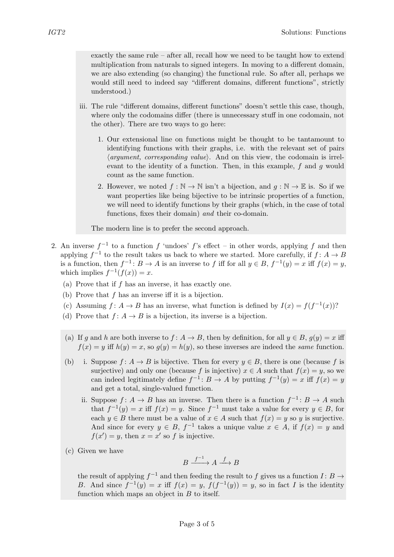exactly the same rule – after all, recall how we need to be taught how to extend multiplication from naturals to signed integers. In moving to a different domain, we are also extending (so changing) the functional rule. So after all, perhaps we would still need to indeed say "different domains, different functions", strictly understood.)

- iii. The rule "different domains, different functions" doesn't settle this case, though, where only the codomains differ (there is unnecessary stuff in one codomain, not the other). There are two ways to go here:
	- 1. Our extensional line on functions might be thought to be tantamount to identifying functions with their graphs, i.e. with the relevant set of pairs  $\langle argument, corresponding value \rangle$ . And on this view, the codomain is irrelevant to the identity of a function. Then, in this example,  $f$  and  $g$  would count as the same function.
	- 2. However, we noted  $f : \mathbb{N} \to \mathbb{N}$  isn't a bijection, and  $q : \mathbb{N} \to \mathbb{E}$  is. So if we want properties like being bijective to be intrinsic properties of a function, we will need to identify functions by their graphs (which, in the case of total functions, fixes their domain) and their co-domain.

The modern line is to prefer the second approach.

- 2. An inverse  $f^{-1}$  to a function f 'undoes' f's effect in other words, applying f and then applying  $f^{-1}$  to the result takes us back to where we started. More carefully, if  $f: A \to B$ is a function, then  $f^{-1}$ :  $B \to A$  is an inverse to f iff for all  $y \in B$ ,  $f^{-1}(y) = x$  iff  $f(x) = y$ , which implies  $f^{-1}(f(x)) = x$ .
	- (a) Prove that if  $f$  has an inverse, it has exactly one.
	- (b) Prove that  $f$  has an inverse iff it is a bijection.
	- (c) Assuming  $f: A \to B$  has an inverse, what function is defined by  $I(x) = f(f^{-1}(x))$ ?
	- (d) Prove that  $f: A \to B$  is a bijection, its inverse is a bijection.
	- (a) If g and h are both inverse to  $f: A \to B$ , then by definition, for all  $y \in B$ ,  $g(y) = x$  iff  $f(x) = y$  iff  $h(y) = x$ , so  $g(y) = h(y)$ , so these inverses are indeed the same function.
	- (b) i. Suppose  $f: A \to B$  is bijective. Then for every  $y \in B$ , there is one (because f is surjective) and only one (because f is injective)  $x \in A$  such that  $f(x) = y$ , so we can indeed legitimately define  $f^{-1} : B \to A$  by putting  $f^{-1}(y) = x$  iff  $f(x) = y$ and get a total, single-valued function.
		- ii. Suppose  $f: A \to B$  has an inverse. Then there is a function  $f^{-1}: B \to A$  such that  $f^{-1}(y) = x$  iff  $f(x) = y$ . Since  $f^{-1}$  must take a value for every  $y \in B$ , for each  $y \in B$  there must be a value of  $x \in A$  such that  $f(x) = y$  so y is surjective. And since for every  $y \in B$ ,  $f^{-1}$  takes a unique value  $x \in A$ , if  $f(x) = y$  and  $f(x') = y$ , then  $x = x'$  so f is injective.
	- (c) Given we have

$$
B \xrightarrow{f^{-1}} A \xrightarrow{f} B
$$

the result of applying  $f^{-1}$  and then feeding the result to f gives us a function  $I: B \to$ B. And since  $f^{-1}(y) = x$  iff  $f(x) = y$ ,  $f(f^{-1}(y)) = y$ , so in fact I is the identity function which maps an object in  $B$  to itself.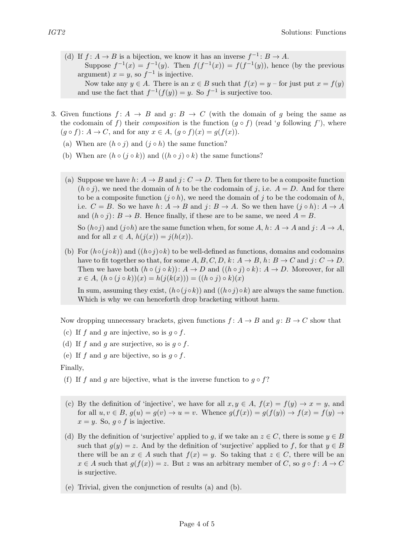(d) If  $f: A \to B$  is a bijection, we know it has an inverse  $f^{-1}: B \to A$ . Suppose  $f^{-1}(x) = f^{-1}(y)$ . Then  $f(f^{-1}(x)) = f(f^{-1}(y))$ , hence (by the previous argument)  $x = y$ , so  $f^{-1}$  is injective. Now take any  $y \in A$ . There is an  $x \in B$  such that  $f(x) = y$  – for just put  $x = f(y)$ 

and use the fact that  $f^{-1}(f(y)) = y$ . So  $f^{-1}$  is surjective too.

- 3. Given functions  $f: A \rightarrow B$  and  $g: B \rightarrow C$  (with the domain of g being the same as the codomain of f) their *composition* is the function  $(g \circ f)$  (read 'g following f'), where  $(g \circ f): A \to C$ , and for any  $x \in A$ ,  $(g \circ f)(x) = g(f(x))$ .
	- (a) When are  $(h \circ j)$  and  $(j \circ h)$  the same function?
	- (b) When are  $(h \circ (i \circ k))$  and  $((h \circ i) \circ k)$  the same functions?
	- (a) Suppose we have  $h: A \to B$  and  $j: C \to D$ . Then for there to be a composite function  $(h \circ j)$ , we need the domain of h to be the codomain of j, i.e.  $A = D$ . And for there to be a composite function  $(j \circ h)$ , we need the domain of j to be the codomain of h, i.e.  $C = B$ . So we have  $h: A \to B$  and  $j: B \to A$ . So we then have  $(j \circ h): A \to A$ and  $(h \circ j)$ :  $B \to B$ . Hence finally, if these are to be same, we need  $A = B$ . So  $(h \circ j)$  and  $(j \circ h)$  are the same function when, for some A, h:  $A \to A$  and  $j: A \to A$ ,

and for all  $x \in A$ ,  $h(j(x)) = j(h(x))$ .

(b) For  $(h \circ (j \circ k))$  and  $((h \circ j) \circ k)$  to be well-defined as functions, domains and codomains have to fit together so that, for some  $A, B, C, D, k: A \to B, h: B \to C$  and  $j: C \to D$ . Then we have both  $(h \circ (j \circ k)) : A \to D$  and  $((h \circ j) \circ k) : A \to D$ . Moreover, for all  $x \in A$ ,  $(h \circ (j \circ k))(x) = h(j(k(x))) = ((h \circ j) \circ k)(x)$ 

In sum, assuming they exist,  $(h \circ (i \circ k))$  and  $((h \circ i) \circ k)$  are always the same function. Which is why we can henceforth drop bracketing without harm.

Now dropping unnecessary brackets, given functions  $f: A \rightarrow B$  and  $q: B \rightarrow C$  show that

- (c) If f and g are injective, so is  $q \circ f$ .
- (d) If f and q are surjective, so is  $q \circ f$ .
- (e) If f and g are bijective, so is  $g \circ f$ .

Finally,

- (f) If f and g are bijective, what is the inverse function to  $g \circ f$ ?
- (c) By the definition of 'injective', we have for all  $x, y \in A$ ,  $f(x) = f(y) \rightarrow x = y$ , and for all  $u, v \in B$ ,  $g(u) = g(v) \rightarrow u = v$ . Whence  $g(f(x)) = g(f(y)) \rightarrow f(x) = f(y) \rightarrow$  $x = y$ . So,  $g \circ f$  is injective.
- (d) By the definition of 'surjective' applied to g, if we take an  $z \in C$ , there is some  $y \in B$ such that  $g(y) = z$ . And by the definition of 'surjective' applied to f, for that  $y \in B$ there will be an  $x \in A$  such that  $f(x) = y$ . So taking that  $z \in C$ , there will be an  $x \in A$  such that  $g(f(x)) = z$ . But z was an arbitrary member of C, so  $g \circ f : A \to C$ is surjective.
- (e) Trivial, given the conjunction of results (a) and (b).